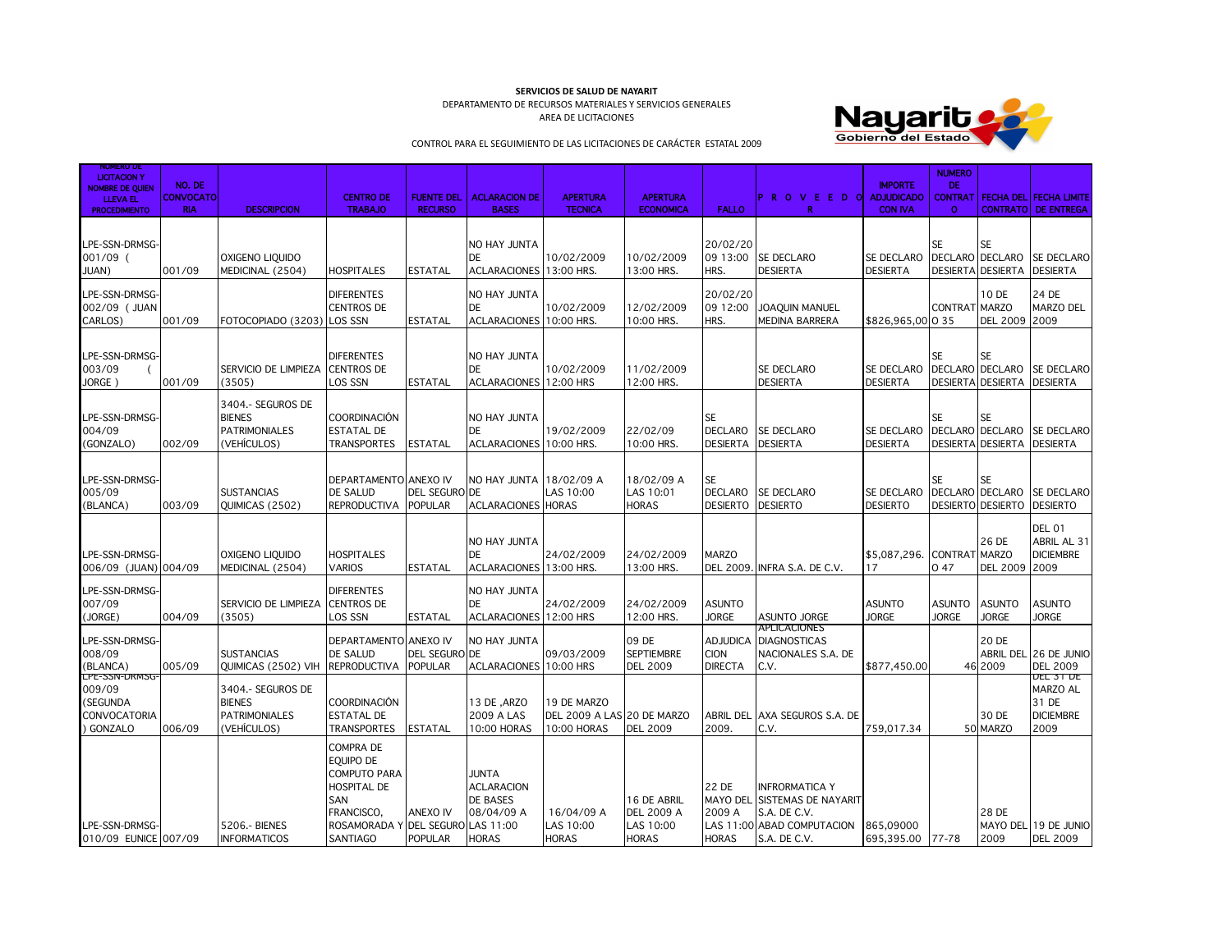**SERVICIOS DE SALUD DE NAYARIT** 

DEPARTAMENTO DE RECURSOS MATERIALES Y SERVICIOS GENERALES AREA DE LICITACIONES



CONTROL PARA EL SEGUIMIENTO DE LAS LICITACIONES DE CARÁCTER ESTATAL 2009

| NUMBER OF ST<br><b>LICITACION Y</b>                               | NO. DE                         |                                                                            |                                                                                                                                                         |                                     |                                                                             |                                                          |                                                               |                                                  |                                                                                                                     | <b>IMPORTE</b>                       | <b>NUMERO</b><br>DE.                            |                                                          |                                                                       |
|-------------------------------------------------------------------|--------------------------------|----------------------------------------------------------------------------|---------------------------------------------------------------------------------------------------------------------------------------------------------|-------------------------------------|-----------------------------------------------------------------------------|----------------------------------------------------------|---------------------------------------------------------------|--------------------------------------------------|---------------------------------------------------------------------------------------------------------------------|--------------------------------------|-------------------------------------------------|----------------------------------------------------------|-----------------------------------------------------------------------|
| <b>NOMBRE DE QUIEN</b><br><b>LLEVA EL</b><br><b>PROCEDIMIENTO</b> | <b>CONVOCATO</b><br><b>RIA</b> | <b>DESCRIPCION</b>                                                         | <b>CENTRO DE</b><br><b>TRABAJO</b>                                                                                                                      | <b>FUENTE DEL</b><br><b>RECURSO</b> | <b>ACLARACION DE</b><br><b>BASES</b>                                        | <b>APERTURA</b><br><b>TECNICA</b>                        | <b>APERTURA</b><br><b>ECONOMICA</b>                           | <b>FALLO</b>                                     | IPROVEED OI<br>R                                                                                                    | <b>ADJUDICADO</b><br><b>CON IVA</b>  | $\Omega$                                        |                                                          | <b>CONTRAT   FECHA DEL FECHA LIMITE</b><br><b>CONTRATO DE ENTREGA</b> |
| LPE-SSN-DRMSG-<br>001/09 (<br>JUAN)                               | 001/09                         | OXIGENO LIQUIDO<br>MEDICINAL (2504)                                        | <b>HOSPITALES</b>                                                                                                                                       | <b>ESTATAL</b>                      | NO HAY JUNTA<br>DE<br>ACLARACIONES 13:00 HRS.                               | 10/02/2009                                               | 10/02/2009<br>13:00 HRS.                                      | 20/02/20<br>09 13:00<br>HRS.                     | SE DECLARO<br><b>DESIERTA</b>                                                                                       | <b>SE DECLARO</b><br><b>DESIERTA</b> | <b>SE</b>                                       | <b>SE</b><br>DECLARO DECLARO<br><b>DESIERTA DESIERTA</b> | <b>SE DECLARO</b><br><b>DESIERTA</b>                                  |
| LPE-SSN-DRMSG-<br>002/09 ( JUAN<br>CARLOS)                        | 001/09                         | FOTOCOPIADO (3203)                                                         | <b>DIFERENTES</b><br><b>CENTROS DE</b><br><b>LOS SSN</b>                                                                                                | <b>ESTATAL</b>                      | NO HAY JUNTA<br>DE<br><b>ACLARACIONES</b>                                   | 10/02/2009<br>10:00 HRS.                                 | 12/02/2009<br>10:00 HRS.                                      | 20/02/20<br>09 12:00<br>HRS.                     | JOAQUIN MANUEL<br>MEDINA BARRERA                                                                                    | \$826,965,00 0 35                    | CONTRAT MARZO                                   | 10 DE<br><b>DEL 2009</b>                                 | 24 DE<br><b>MARZO DEL</b><br>2009                                     |
| LPE-SSN-DRMSG-<br>003/09<br>JORGE                                 | 001/09                         | SERVICIO DE LIMPIEZA<br>(3505)                                             | <b>DIFERENTES</b><br><b>CENTROS DE</b><br>LOS SSN                                                                                                       | <b>ESTATAL</b>                      | NO HAY JUNTA<br>DE<br><b>ACLARACIONES</b>                                   | 10/02/2009<br>12:00 HRS                                  | 11/02/2009<br>12:00 HRS.                                      |                                                  | SE DECLARO<br><b>DESIERTA</b>                                                                                       | <b>SE DECLARO</b><br><b>DESIERTA</b> | <b>SE</b><br>DECLARO DECLARO<br><b>DESIERTA</b> | <b>SE</b><br><b>DESIERTA</b>                             | <b>SE DECLARO</b><br><b>DESIERTA</b>                                  |
| LPE-SSN-DRMSG-<br>004/09<br>(GONZALO)                             | 002/09                         | 3404 .- SEGUROS DE<br><b>BIENES</b><br><b>PATRIMONIALES</b><br>(VEHÍCULOS) | <b>COORDINACIÓN</b><br><b>ESTATAL DE</b><br><b>TRANSPORTES</b>                                                                                          | <b>ESTATAL</b>                      | NO HAY JUNTA<br>DE<br>ACLARACIONES 10:00 HRS.                               | 19/02/2009                                               | 22/02/09<br>10:00 HRS.                                        | <b>SE</b><br><b>DECLARO</b><br><b>DESIERTA</b>   | <b>SE DECLARO</b><br><b>DESIERTA</b>                                                                                | <b>SE DECLARO</b><br><b>DESIERTA</b> | <b>SE</b>                                       | SE<br>DESIERTA DESIERTA DESIERTA                         | DECLARO DECLARO ISE DECLARO                                           |
| LPE-SSN-DRMSG-<br>005/09<br>(BLANCA)                              | 003/09                         | <b>SUSTANCIAS</b><br>QUIMICAS (2502)                                       | DEPARTAMENTO ANEXO IV<br><b>DE SALUD</b><br><b>REPRODUCTIVA</b>                                                                                         | DEL SEGURO DE<br><b>POPULAR</b>     | NO HAY JUNTA<br><b>ACLARACIONES</b>                                         | 18/02/09 A<br>LAS 10:00<br><b>HORAS</b>                  | 18/02/09 A<br>LAS 10:01<br><b>HORAS</b>                       | <b>SE</b><br><b>DECLARO</b><br><b>DESIERTO</b>   | SE DECLARO<br><b>DESIERTO</b>                                                                                       | SE DECLARO<br><b>DESIERTO</b>        | <b>SE</b>                                       | <b>SE</b><br>DECLARO DECLARO<br>DESIERTO DESIERTO        | SE DECLARO<br><b>DESIERTO</b>                                         |
| LPE-SSN-DRMSG-<br>006/09 (JUAN) 004/09                            |                                | OXIGENO LIOUIDO<br>MEDICINAL (2504)                                        | <b>HOSPITALES</b><br><b>VARIOS</b>                                                                                                                      | <b>ESTATAL</b>                      | NO HAY JUNTA<br>DE<br>ACLARACIONES 13:00 HRS.                               | 24/02/2009                                               | 24/02/2009<br>13:00 HRS.                                      | <b>MARZO</b><br>DEL 2009.                        | INFRA S.A. DE C.V.                                                                                                  | \$5,087,296.<br>17                   | <b>CONTRAT MARZO</b><br>047                     | 26 DE<br>DEL 2009 2009                                   | <b>DEL 01</b><br>ABRIL AL 31<br><b>DICIEMBRE</b>                      |
| LPE-SSN-DRMSG-<br>007/09<br>(JORGE)                               | 004/09                         | SERVICIO DE LIMPIEZA<br>(3505)                                             | <b>DIFERENTES</b><br>CENTROS DE<br>LOS SSN                                                                                                              | ESTATAL                             | NO HAY JUNTA<br>DE<br>ACLARACIONES 12:00 HRS                                | 24/02/2009                                               | 24/02/2009<br>12:00 HRS.                                      | <b>ASUNTO</b><br><b>JORGE</b>                    | ASUNTO JORGE                                                                                                        | <b>ASUNTO</b><br><b>JORGE</b>        | <b>ASUNTO</b><br><b>JORGE</b>                   | <b>ASUNTO</b><br><b>JORGE</b>                            | <b>ASUNTO</b><br><b>JORGE</b>                                         |
| LPE-SSN-DRMSG-<br>008/09<br>(BLANCA)                              | 005/09                         | <b>SUSTANCIAS</b><br>QUIMICAS (2502) VIH                                   | DEPARTAMENTO ANEXO IV<br><b>DE SALUD</b><br><b>REPRODUCTIVA</b>                                                                                         | <b>DEL SEGURO</b><br><b>POPULAR</b> | NO HAY JUNTA<br><b>DE</b><br><b>ACLARACIONES</b>                            | 09/03/2009<br>10:00 HRS                                  | 09 DE<br><b>SEPTIEMBRE</b><br><b>DEL 2009</b>                 | <b>ADJUDICA</b><br><b>CION</b><br><b>DIRECTA</b> | <b>APLICACIONES</b><br><b>DIAGNOSTICAS</b><br>NACIONALES S.A. DE<br>C.V.                                            | \$877,450.00                         |                                                 | 20 DE<br>46 2009                                         | ABRIL DEL 26 DE JUNIO<br><b>DEL 2009</b><br><b>DEL 31 DE</b>          |
| LPE-SSN-DRMSG<br>009/09<br>(SEGUNDA<br>CONVOCATORIA<br>) GONZALO  | 006/09                         | 3404 .- SEGUROS DE<br><b>BIENES</b><br><b>PATRIMONIALES</b><br>(VEHÍCULOS) | <b>COORDINACIÓN</b><br><b>ESTATAL DE</b><br><b>TRANSPORTES</b>                                                                                          | <b>ESTATAL</b>                      | 13 DE , ARZO<br>2009 A LAS<br>10:00 HORAS                                   | 19 DE MARZO<br>DEL 2009 A LAS 20 DE MARZO<br>10:00 HORAS | <b>DEL 2009</b>                                               | 2009.                                            | ABRIL DEL AXA SEGUROS S.A. DE<br>C.V.                                                                               | 759,017.34                           |                                                 | 30 DE<br>50 MARZO                                        | MARZO AL<br>31 DE<br><b>DICIEMBRE</b><br>2009                         |
| LPE-SSN-DRMSG-<br>010/09 EUNICE 007/09                            |                                | 5206 .- BIENES<br><b>INFORMATICOS</b>                                      | <b>COMPRA DE</b><br>EQUIPO DE<br><b>COMPUTO PARA</b><br><b>HOSPITAL DE</b><br>SAN<br>FRANCISCO.<br>ROSAMORADA Y DEL SEGURO LAS 11:00<br><b>SANTIAGO</b> | ANEXO IV<br><b>POPULAR</b>          | <b>JUNTA</b><br><b>ACLARACION</b><br>DE BASES<br>08/04/09 A<br><b>HORAS</b> | 16/04/09 A<br>LAS 10:00<br><b>HORAS</b>                  | 16 DE ABRIL<br><b>DEL 2009 A</b><br>LAS 10:00<br><b>HORAS</b> | 22 DE<br>2009 A<br><b>HORAS</b>                  | <b>INFRORMATICA Y</b><br>MAYO DEL SISTEMAS DE NAYARIT<br>S.A. DE C.V.<br>LAS 11:00 ABAD COMPUTACION<br>S.A. DE C.V. | 865,09000<br>695,395.00              | 77-78                                           | 28 DE<br>2009                                            | MAYO DEL 19 DE JUNIO<br><b>DEL 2009</b>                               |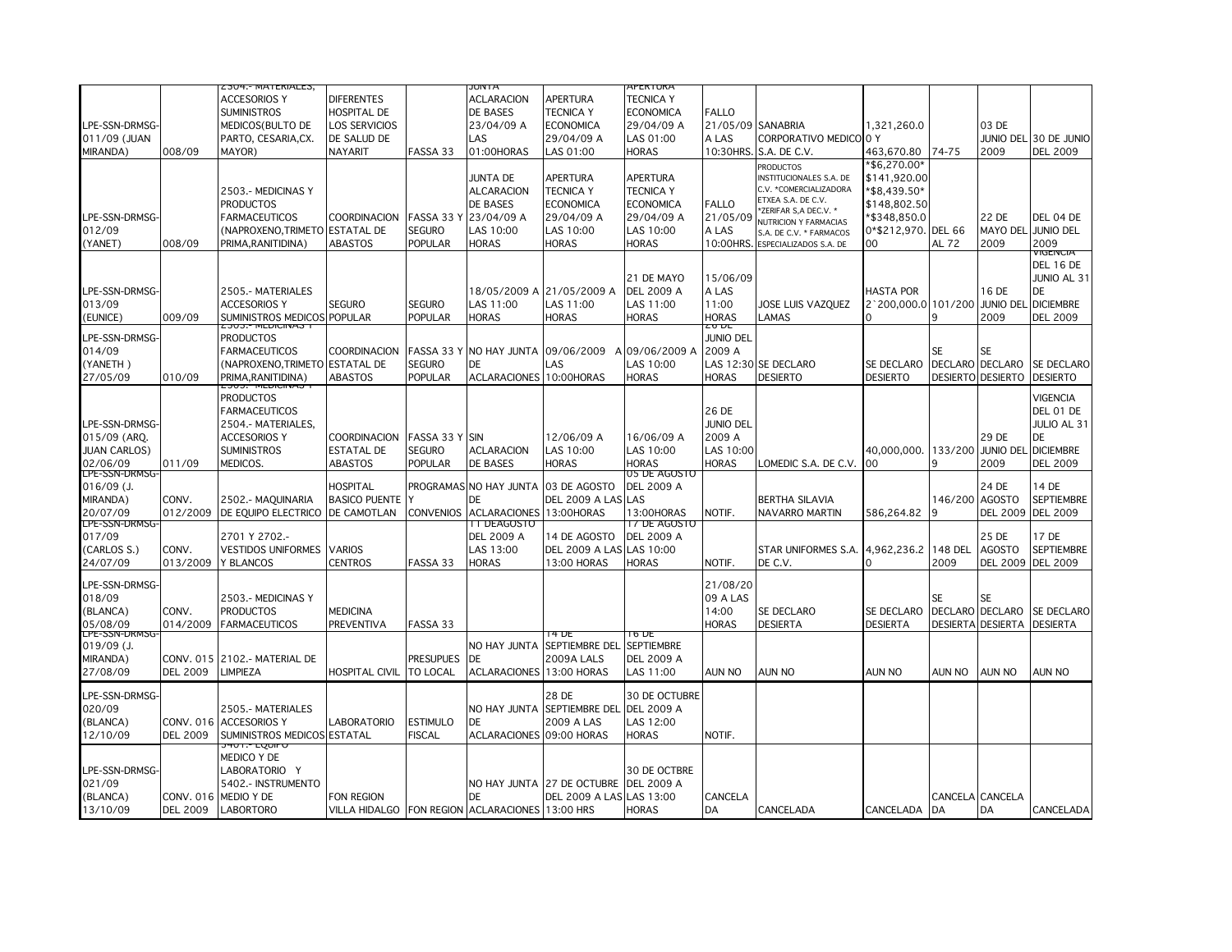| <b>ACCESORIOS Y</b><br><b>DIFERENTES</b><br><b>ACLARACION</b><br><b>APERTURA</b><br><b>TECNICA Y</b><br><b>SUMINISTROS</b><br>HOSPITAL DE<br>DE BASES<br><b>TECNICA Y</b><br><b>ECONOMICA</b><br><b>FALLO</b><br>LPE-SSN-DRMSG-<br>LOS SERVICIOS<br>03 DE<br>MEDICOS (BULTO DE<br>23/04/09 A<br>ECONOMICA<br>29/04/09 A<br>21/05/09 SANABRIA<br>1,321,260.0<br>011/09 (JUAN<br>DE SALUD DE<br>LAS<br>29/04/09 A<br>A LAS<br>CORPORATIVO MEDICOLO Y<br>JUNIO DEL 30 DE JUNIO<br>PARTO, CESARIA, CX.<br>LAS 01:00<br>MIRANDA)<br>008/09<br><b>NAYARIT</b><br>FASSA 33<br>01:00HORAS<br>LAS 01:00<br>10:30HRS. S.A. DE C.V.<br>2009<br><b>DEL 2009</b><br>MAYOR)<br><b>HORAS</b><br>463,670.80<br>74-75<br>*\$6,270.00*<br><b>PRODUCTOS</b><br>JUNTA DE<br>APERTURA<br><b>APERTURA</b><br>\$141,920.00<br>INSTITUCIONALES S.A. DE<br>C.V. * COMERCIALIZADORA<br><b>TECNICA Y</b><br><b>ALCARACION</b><br><b>TECNICA Y</b><br>*\$8,439.50*<br>2503.- MEDICINAS Y<br>ETXEA S.A. DE C.V.<br>DE BASES<br><b>ECONOMICA</b><br><b>PRODUCTOS</b><br><b>ECONOMICA</b><br><b>FALLO</b><br>\$148,802.50<br>*ZERIFAR S,A DEC.V. *<br>LPE-SSN-DRMSG-<br>23/04/09 A<br>29/04/09 A<br>29/04/09 A<br>21/05/09<br>\$348,850.0<br>22 DE<br>DEL 04 DE<br><b>FARMACEUTICOS</b><br><b>COORDINACION</b><br>FASSA 33 Y<br><b>NUTRICION Y FARMACIAS</b><br>012/09<br>(NAPROXENO.TRIMETO ESTATAL DE<br><b>SEGURO</b><br>LAS 10:00<br>LAS 10:00<br>MAYO DEL<br><b>JUNIO DEL</b><br>LAS 10:00<br>A LAS<br>0*\$212,970. DEL 66<br>S.A. DE C.V. * FARMACOS<br>2009<br>008/09<br><b>ABASTOS</b><br><b>POPULAR</b><br><b>HORAS</b><br><b>HORAS</b><br><b>HORAS</b><br>10:00HRS.<br>00<br>AL 72<br>2009<br>(YANET)<br>PRIMA, RANITIDINA)<br>ESPECIALIZADOS S.A. DE<br>VIGENCIA<br><b>DEL 16 DE</b><br>21 DE MAYO<br>15/06/09<br>JUNIO AL 31<br><b>DE</b><br>LPE-SSN-DRMSG-<br>18/05/2009 A<br>21/05/2009 A<br><b>DEL 2009 A</b><br>A LAS<br><b>HASTA POR</b><br>16 DE<br>2505.- MATERIALES<br><b>ACCESORIOS Y</b><br><b>SEGURO</b><br>Seguro<br>11:00<br>2`200,000.0 101/200<br><b>DICIEMBRE</b><br>013/09<br>LAS 11:00<br>LAS 11:00<br>LAS 11:00<br>JOSE LUIS VAZQUEZ<br><b>JUNIO DEL</b><br>SUMINISTROS MEDICOS POPULAR<br><b>HORAS</b><br><b>HORAS</b><br>2009<br><b>DEL 2009</b><br>(EUNICE)<br>009/09<br><b>POPULAR</b><br><b>HORAS</b><br><b>HORAS</b><br><b>AMAS</b><br>q<br>- טאווטושטאי <del>-</del> פטפ<br>וש.<br>LPE-SSN-DRMSG-<br><b>JUNIO DEL</b><br><b>PRODUCTOS</b><br>014/09<br>09/06/2009<br>09/06/2009 A<br>2009 A<br>SE<br>SE<br><b>FARMACEUTICOS</b><br><b>COORDINACION</b><br>FASSA 33 Y<br><b>NO HAY JUNTA</b><br>A<br>(YANETH)<br>(NAPROXENO, TRIMETO ESTATAL DE<br><b>SEGURO</b><br>DE<br>_AS<br>LAS 10:00<br>LAS 12:30 SE DECLARO<br>SE DECLARO<br><b>DECLARO DECLARO</b><br>SE DECLARO<br>DESIERTO DESIERTO<br><b>DESIERTO</b><br>27/05/09<br>010/09<br>PRIMA, RANITIDINA)<br><b>ABASTOS</b><br>POPULAR<br>ACLARACIONES 10:00HORAS<br><b>HORAS</b><br><b>HORAS</b><br><b>DESIERTO</b><br><b>DESIERTO</b><br>CJUJ." MEDICINAJ<br><b>VIGENCIA</b><br><b>PRODUCTOS</b><br><b>FARMACEUTICOS</b><br>26 DE<br>DEL 01 DE<br><b>JUNIO DEL</b><br>LPE-SSN-DRMSG-<br>2504 .- MATERIALES,<br>JULIO AL 31<br><b>ACCESORIOS Y</b><br>12/06/09 A<br>DE<br><b>COORDINACION</b><br><b>FASSA 33 Y SIN</b><br>16/06/09 A<br>2009 A<br>29 DE<br><b>JUAN CARLOS)</b><br><b>SUMINISTROS</b><br><b>SEGURO</b><br><b>DICIEMBRE</b><br>ESTATAL DE<br><b>ACLARACION</b><br>LAS 10:00<br>LAS 10:00<br>LAS 10:00<br>40.000.000.<br>133/200<br>junio del<br>02/06/09<br>011/09<br>MEDICOS.<br>ABASTOS<br><b>POPULAR</b><br>DE BASES<br><b>HORAS</b><br><b>HORAS</b><br><b>HORAS</b><br>OMEDIC S.A. DE C.V.<br>00<br>9<br>2009<br><b>DEL 2009</b><br>LPE-SSN-DRMSG-<br>US DE AGOSTC<br>HOSPITAL<br>PROGRAMAS NO HAY JUNTA<br>24 DE<br>$016/09$ (J.<br>03 DE AGOSTO<br><b>DEL 2009 A</b><br>14 DE<br><b>SEPTIEMBRE</b><br>MIRANDA)<br>CONV.<br>2502 .- MAQUINARIA<br><b>BASICO PUENTE</b><br>DE<br>DEL 2009 A LAS LAS<br><b>BERTHA SILAVIA</b><br>146/200<br><b>AGOSTO</b><br>20/07/09<br>DE EQUIPO ELECTRICO<br><b>DE CAMOTLAN</b><br><b>CONVENIOS</b><br><b>ACLARACIONES</b><br>13:00HORAS<br>13:00HORAS<br><b>NAVARRO MARTIN</b><br>586,264.82<br><b>DEL 2009</b><br><b>DEL 2009</b><br>012/2009<br>NOTIF.<br>9<br>LPE-SSN-DRMSG-<br>11 DEAGOSTO<br>17 DE AGOSTO<br>017/09<br>2701 Y 2702 .-<br><b>DEL 2009 A</b><br>14 DE AGOSTO<br><b>DEL 2009 A</b><br>25 DE<br>17 DE<br>(CARLOS S.)<br><b>VESTIDOS UNIFORMES</b><br><b>VARIOS</b><br>LAS 13:00<br>DEL 2009 A LAS LAS 10:00<br>4,962,236.2<br><b>148 DEL</b><br><b>AGOSTO</b><br><b>SEPTIEMBRE</b><br>CONV.<br>STAR UNIFORMES S.A.<br><b>CENTROS</b><br><b>HORAS</b><br>2009<br><b>DEL 2009</b><br><b>DEL 2009</b><br>24/07/09<br>013/2009<br>Y BLANCOS<br>FASSA 33<br>HORAS<br>13:00 HORAS<br>NOTIF.<br>DE C.V.<br>LPE-SSN-DRMSG-<br>21/08/20<br>018/09<br>2503.- MEDICINAS Y<br>09 A LAS<br>SE<br>SE.<br>14:00<br>DECLARO DECLARO<br>(BLANCA)<br>CONV.<br><b>PRODUCTOS</b><br><b>MEDICINA</b><br>SE DECLARO<br>SE DECLARO<br><b>SE DECLARO</b><br>05/08/09<br><b>DESIERTA</b><br>014/2009<br><b>FARMACEUTICOS</b><br><b>PREVENTIVA</b><br>FASSA 33<br><b>HORAS</b><br><b>DESIERTA</b><br><b>DESIERTA</b><br><b>DESIERTA DESIERTA</b><br>LPE-SSN-DRMSG<br>I O DE<br>4 Dt<br>SEPTIEMBRE DEL<br><b>SEPTIEMBRE</b><br>$019/09$ (J.<br>NO HAY JUNTA<br><b>PRESUPUES</b><br>MIRANDA)<br>CONV. 015 2102.- MATERIAL DE<br>DE<br><b>2009A LALS</b><br><b>DEL 2009 A</b><br>27/08/09<br><b>DEL 2009</b><br>LIMPIEZA<br><b>HOSPITAL CIVIL</b><br>TO LOCAL<br><b>ACLARACIONES</b><br>13:00 HORAS<br>LAS 11:00<br>AUN NO<br><b>AUN NO</b><br>AUN NO<br>AUN NO<br><b>AUN NO</b><br>AUN NO<br>30 DE OCTUBRE<br>LPE-SSN-DRMSG-<br>28 DE<br>020/09<br>2505 .- MATERIALES<br>NO HAY JUNTA<br>SEPTIEMBRE DEL<br><b>DEL 2009 A</b><br>(BLANCA)<br>CONV. 016<br><b>ACCESORIOS Y</b><br>LABORATORIO<br><b>ESTIMULO</b><br>DE<br>2009 A LAS<br>LAS 12:00<br>12/10/09<br><b>DEL 2009</b><br>SUMINISTROS MEDICOS ESTATAL<br><b>FISCAL</b><br>ACLARACIONES 09:00 HORAS<br><b>HORAS</b><br>NOTIF.<br>העטו.- בעטורכ<br>MEDICO Y DE<br>LPE-SSN-DRMSG-<br>LABORATORIO Y<br>30 DE OCTBRE<br>021/09<br>5402 .- INSTRUMENTO<br>27 DE OCTUBRE<br><b>DEL 2009 A</b><br>NO HAY JUNTA<br>(BLANCA)<br>MEDIO Y DE<br>Fon Region<br>DEL 2009 A LAS LAS 13:00<br>CANCELA<br>CANCELA CANCELA<br>CONV. 016<br>DE<br><b>DEL 2009</b><br>CANCELADA DA<br>13/10/09<br><b>LABORTORO</b><br>VILLA HIDALGO FON REGION ACLARACIONES 13:00 HRS<br><b>HORAS</b><br>CANCELADA<br>DA<br>CANCELADA<br>DA |              | .304.- MATERIALE3, |  | பங≁ | REKTURA |  |  |  |
|---------------------------------------------------------------------------------------------------------------------------------------------------------------------------------------------------------------------------------------------------------------------------------------------------------------------------------------------------------------------------------------------------------------------------------------------------------------------------------------------------------------------------------------------------------------------------------------------------------------------------------------------------------------------------------------------------------------------------------------------------------------------------------------------------------------------------------------------------------------------------------------------------------------------------------------------------------------------------------------------------------------------------------------------------------------------------------------------------------------------------------------------------------------------------------------------------------------------------------------------------------------------------------------------------------------------------------------------------------------------------------------------------------------------------------------------------------------------------------------------------------------------------------------------------------------------------------------------------------------------------------------------------------------------------------------------------------------------------------------------------------------------------------------------------------------------------------------------------------------------------------------------------------------------------------------------------------------------------------------------------------------------------------------------------------------------------------------------------------------------------------------------------------------------------------------------------------------------------------------------------------------------------------------------------------------------------------------------------------------------------------------------------------------------------------------------------------------------------------------------------------------------------------------------------------------------------------------------------------------------------------------------------------------------------------------------------------------------------------------------------------------------------------------------------------------------------------------------------------------------------------------------------------------------------------------------------------------------------------------------------------------------------------------------------------------------------------------------------------------------------------------------------------------------------------------------------------------------------------------------------------------------------------------------------------------------------------------------------------------------------------------------------------------------------------------------------------------------------------------------------------------------------------------------------------------------------------------------------------------------------------------------------------------------------------------------------------------------------------------------------------------------------------------------------------------------------------------------------------------------------------------------------------------------------------------------------------------------------------------------------------------------------------------------------------------------------------------------------------------------------------------------------------------------------------------------------------------------------------------------------------------------------------------------------------------------------------------------------------------------------------------------------------------------------------------------------------------------------------------------------------------------------------------------------------------------------------------------------------------------------------------------------------------------------------------------------------------------------------------------------------------------------------------------------------------------------------------------------------------------------------------------------------------------------------------------------------------------------------------------------------------------------------------------------------------------------------------------------------------------------------------------------------------------------------------------------------------------------------------------------------------------------------------------------------------------------------------------------------------------------------------------------------------------------------------------------------------------------------------------------------------------------------------------------------------------------------------------------------------------------------------------------------------------------------------------------------------------------------------------------------------------------------------------------------------------------------------------------------------------------------------------------------------------------------------------------------------------------------------------------------------------------------------------------------------------------------------------------------------------------------------------------------------------------------------------------------------------------------------------------------------------------------------------------------------------------------------------------------------------------------------------------------------------------------------------------------------------------------------------------------------------------------------------------------------------|--------------|--------------------|--|-----|---------|--|--|--|
|                                                                                                                                                                                                                                                                                                                                                                                                                                                                                                                                                                                                                                                                                                                                                                                                                                                                                                                                                                                                                                                                                                                                                                                                                                                                                                                                                                                                                                                                                                                                                                                                                                                                                                                                                                                                                                                                                                                                                                                                                                                                                                                                                                                                                                                                                                                                                                                                                                                                                                                                                                                                                                                                                                                                                                                                                                                                                                                                                                                                                                                                                                                                                                                                                                                                                                                                                                                                                                                                                                                                                                                                                                                                                                                                                                                                                                                                                                                                                                                                                                                                                                                                                                                                                                                                                                                                                                                                                                                                                                                                                                                                                                                                                                                                                                                                                                                                                                                                                                                                                                                                                                                                                                                                                                                                                                                                                                                                                                                                                                                                                                                                                                                                                                                                                                                                                                                                                                                                                                                                                                                                                                                                                                                                                                                                                                                                                                                                                                                                                                                                                                     |              |                    |  |     |         |  |  |  |
|                                                                                                                                                                                                                                                                                                                                                                                                                                                                                                                                                                                                                                                                                                                                                                                                                                                                                                                                                                                                                                                                                                                                                                                                                                                                                                                                                                                                                                                                                                                                                                                                                                                                                                                                                                                                                                                                                                                                                                                                                                                                                                                                                                                                                                                                                                                                                                                                                                                                                                                                                                                                                                                                                                                                                                                                                                                                                                                                                                                                                                                                                                                                                                                                                                                                                                                                                                                                                                                                                                                                                                                                                                                                                                                                                                                                                                                                                                                                                                                                                                                                                                                                                                                                                                                                                                                                                                                                                                                                                                                                                                                                                                                                                                                                                                                                                                                                                                                                                                                                                                                                                                                                                                                                                                                                                                                                                                                                                                                                                                                                                                                                                                                                                                                                                                                                                                                                                                                                                                                                                                                                                                                                                                                                                                                                                                                                                                                                                                                                                                                                                                     |              |                    |  |     |         |  |  |  |
|                                                                                                                                                                                                                                                                                                                                                                                                                                                                                                                                                                                                                                                                                                                                                                                                                                                                                                                                                                                                                                                                                                                                                                                                                                                                                                                                                                                                                                                                                                                                                                                                                                                                                                                                                                                                                                                                                                                                                                                                                                                                                                                                                                                                                                                                                                                                                                                                                                                                                                                                                                                                                                                                                                                                                                                                                                                                                                                                                                                                                                                                                                                                                                                                                                                                                                                                                                                                                                                                                                                                                                                                                                                                                                                                                                                                                                                                                                                                                                                                                                                                                                                                                                                                                                                                                                                                                                                                                                                                                                                                                                                                                                                                                                                                                                                                                                                                                                                                                                                                                                                                                                                                                                                                                                                                                                                                                                                                                                                                                                                                                                                                                                                                                                                                                                                                                                                                                                                                                                                                                                                                                                                                                                                                                                                                                                                                                                                                                                                                                                                                                                     |              |                    |  |     |         |  |  |  |
|                                                                                                                                                                                                                                                                                                                                                                                                                                                                                                                                                                                                                                                                                                                                                                                                                                                                                                                                                                                                                                                                                                                                                                                                                                                                                                                                                                                                                                                                                                                                                                                                                                                                                                                                                                                                                                                                                                                                                                                                                                                                                                                                                                                                                                                                                                                                                                                                                                                                                                                                                                                                                                                                                                                                                                                                                                                                                                                                                                                                                                                                                                                                                                                                                                                                                                                                                                                                                                                                                                                                                                                                                                                                                                                                                                                                                                                                                                                                                                                                                                                                                                                                                                                                                                                                                                                                                                                                                                                                                                                                                                                                                                                                                                                                                                                                                                                                                                                                                                                                                                                                                                                                                                                                                                                                                                                                                                                                                                                                                                                                                                                                                                                                                                                                                                                                                                                                                                                                                                                                                                                                                                                                                                                                                                                                                                                                                                                                                                                                                                                                                                     |              |                    |  |     |         |  |  |  |
|                                                                                                                                                                                                                                                                                                                                                                                                                                                                                                                                                                                                                                                                                                                                                                                                                                                                                                                                                                                                                                                                                                                                                                                                                                                                                                                                                                                                                                                                                                                                                                                                                                                                                                                                                                                                                                                                                                                                                                                                                                                                                                                                                                                                                                                                                                                                                                                                                                                                                                                                                                                                                                                                                                                                                                                                                                                                                                                                                                                                                                                                                                                                                                                                                                                                                                                                                                                                                                                                                                                                                                                                                                                                                                                                                                                                                                                                                                                                                                                                                                                                                                                                                                                                                                                                                                                                                                                                                                                                                                                                                                                                                                                                                                                                                                                                                                                                                                                                                                                                                                                                                                                                                                                                                                                                                                                                                                                                                                                                                                                                                                                                                                                                                                                                                                                                                                                                                                                                                                                                                                                                                                                                                                                                                                                                                                                                                                                                                                                                                                                                                                     |              |                    |  |     |         |  |  |  |
|                                                                                                                                                                                                                                                                                                                                                                                                                                                                                                                                                                                                                                                                                                                                                                                                                                                                                                                                                                                                                                                                                                                                                                                                                                                                                                                                                                                                                                                                                                                                                                                                                                                                                                                                                                                                                                                                                                                                                                                                                                                                                                                                                                                                                                                                                                                                                                                                                                                                                                                                                                                                                                                                                                                                                                                                                                                                                                                                                                                                                                                                                                                                                                                                                                                                                                                                                                                                                                                                                                                                                                                                                                                                                                                                                                                                                                                                                                                                                                                                                                                                                                                                                                                                                                                                                                                                                                                                                                                                                                                                                                                                                                                                                                                                                                                                                                                                                                                                                                                                                                                                                                                                                                                                                                                                                                                                                                                                                                                                                                                                                                                                                                                                                                                                                                                                                                                                                                                                                                                                                                                                                                                                                                                                                                                                                                                                                                                                                                                                                                                                                                     |              |                    |  |     |         |  |  |  |
|                                                                                                                                                                                                                                                                                                                                                                                                                                                                                                                                                                                                                                                                                                                                                                                                                                                                                                                                                                                                                                                                                                                                                                                                                                                                                                                                                                                                                                                                                                                                                                                                                                                                                                                                                                                                                                                                                                                                                                                                                                                                                                                                                                                                                                                                                                                                                                                                                                                                                                                                                                                                                                                                                                                                                                                                                                                                                                                                                                                                                                                                                                                                                                                                                                                                                                                                                                                                                                                                                                                                                                                                                                                                                                                                                                                                                                                                                                                                                                                                                                                                                                                                                                                                                                                                                                                                                                                                                                                                                                                                                                                                                                                                                                                                                                                                                                                                                                                                                                                                                                                                                                                                                                                                                                                                                                                                                                                                                                                                                                                                                                                                                                                                                                                                                                                                                                                                                                                                                                                                                                                                                                                                                                                                                                                                                                                                                                                                                                                                                                                                                                     |              |                    |  |     |         |  |  |  |
|                                                                                                                                                                                                                                                                                                                                                                                                                                                                                                                                                                                                                                                                                                                                                                                                                                                                                                                                                                                                                                                                                                                                                                                                                                                                                                                                                                                                                                                                                                                                                                                                                                                                                                                                                                                                                                                                                                                                                                                                                                                                                                                                                                                                                                                                                                                                                                                                                                                                                                                                                                                                                                                                                                                                                                                                                                                                                                                                                                                                                                                                                                                                                                                                                                                                                                                                                                                                                                                                                                                                                                                                                                                                                                                                                                                                                                                                                                                                                                                                                                                                                                                                                                                                                                                                                                                                                                                                                                                                                                                                                                                                                                                                                                                                                                                                                                                                                                                                                                                                                                                                                                                                                                                                                                                                                                                                                                                                                                                                                                                                                                                                                                                                                                                                                                                                                                                                                                                                                                                                                                                                                                                                                                                                                                                                                                                                                                                                                                                                                                                                                                     |              |                    |  |     |         |  |  |  |
|                                                                                                                                                                                                                                                                                                                                                                                                                                                                                                                                                                                                                                                                                                                                                                                                                                                                                                                                                                                                                                                                                                                                                                                                                                                                                                                                                                                                                                                                                                                                                                                                                                                                                                                                                                                                                                                                                                                                                                                                                                                                                                                                                                                                                                                                                                                                                                                                                                                                                                                                                                                                                                                                                                                                                                                                                                                                                                                                                                                                                                                                                                                                                                                                                                                                                                                                                                                                                                                                                                                                                                                                                                                                                                                                                                                                                                                                                                                                                                                                                                                                                                                                                                                                                                                                                                                                                                                                                                                                                                                                                                                                                                                                                                                                                                                                                                                                                                                                                                                                                                                                                                                                                                                                                                                                                                                                                                                                                                                                                                                                                                                                                                                                                                                                                                                                                                                                                                                                                                                                                                                                                                                                                                                                                                                                                                                                                                                                                                                                                                                                                                     |              |                    |  |     |         |  |  |  |
|                                                                                                                                                                                                                                                                                                                                                                                                                                                                                                                                                                                                                                                                                                                                                                                                                                                                                                                                                                                                                                                                                                                                                                                                                                                                                                                                                                                                                                                                                                                                                                                                                                                                                                                                                                                                                                                                                                                                                                                                                                                                                                                                                                                                                                                                                                                                                                                                                                                                                                                                                                                                                                                                                                                                                                                                                                                                                                                                                                                                                                                                                                                                                                                                                                                                                                                                                                                                                                                                                                                                                                                                                                                                                                                                                                                                                                                                                                                                                                                                                                                                                                                                                                                                                                                                                                                                                                                                                                                                                                                                                                                                                                                                                                                                                                                                                                                                                                                                                                                                                                                                                                                                                                                                                                                                                                                                                                                                                                                                                                                                                                                                                                                                                                                                                                                                                                                                                                                                                                                                                                                                                                                                                                                                                                                                                                                                                                                                                                                                                                                                                                     |              |                    |  |     |         |  |  |  |
|                                                                                                                                                                                                                                                                                                                                                                                                                                                                                                                                                                                                                                                                                                                                                                                                                                                                                                                                                                                                                                                                                                                                                                                                                                                                                                                                                                                                                                                                                                                                                                                                                                                                                                                                                                                                                                                                                                                                                                                                                                                                                                                                                                                                                                                                                                                                                                                                                                                                                                                                                                                                                                                                                                                                                                                                                                                                                                                                                                                                                                                                                                                                                                                                                                                                                                                                                                                                                                                                                                                                                                                                                                                                                                                                                                                                                                                                                                                                                                                                                                                                                                                                                                                                                                                                                                                                                                                                                                                                                                                                                                                                                                                                                                                                                                                                                                                                                                                                                                                                                                                                                                                                                                                                                                                                                                                                                                                                                                                                                                                                                                                                                                                                                                                                                                                                                                                                                                                                                                                                                                                                                                                                                                                                                                                                                                                                                                                                                                                                                                                                                                     |              |                    |  |     |         |  |  |  |
|                                                                                                                                                                                                                                                                                                                                                                                                                                                                                                                                                                                                                                                                                                                                                                                                                                                                                                                                                                                                                                                                                                                                                                                                                                                                                                                                                                                                                                                                                                                                                                                                                                                                                                                                                                                                                                                                                                                                                                                                                                                                                                                                                                                                                                                                                                                                                                                                                                                                                                                                                                                                                                                                                                                                                                                                                                                                                                                                                                                                                                                                                                                                                                                                                                                                                                                                                                                                                                                                                                                                                                                                                                                                                                                                                                                                                                                                                                                                                                                                                                                                                                                                                                                                                                                                                                                                                                                                                                                                                                                                                                                                                                                                                                                                                                                                                                                                                                                                                                                                                                                                                                                                                                                                                                                                                                                                                                                                                                                                                                                                                                                                                                                                                                                                                                                                                                                                                                                                                                                                                                                                                                                                                                                                                                                                                                                                                                                                                                                                                                                                                                     |              |                    |  |     |         |  |  |  |
|                                                                                                                                                                                                                                                                                                                                                                                                                                                                                                                                                                                                                                                                                                                                                                                                                                                                                                                                                                                                                                                                                                                                                                                                                                                                                                                                                                                                                                                                                                                                                                                                                                                                                                                                                                                                                                                                                                                                                                                                                                                                                                                                                                                                                                                                                                                                                                                                                                                                                                                                                                                                                                                                                                                                                                                                                                                                                                                                                                                                                                                                                                                                                                                                                                                                                                                                                                                                                                                                                                                                                                                                                                                                                                                                                                                                                                                                                                                                                                                                                                                                                                                                                                                                                                                                                                                                                                                                                                                                                                                                                                                                                                                                                                                                                                                                                                                                                                                                                                                                                                                                                                                                                                                                                                                                                                                                                                                                                                                                                                                                                                                                                                                                                                                                                                                                                                                                                                                                                                                                                                                                                                                                                                                                                                                                                                                                                                                                                                                                                                                                                                     |              |                    |  |     |         |  |  |  |
|                                                                                                                                                                                                                                                                                                                                                                                                                                                                                                                                                                                                                                                                                                                                                                                                                                                                                                                                                                                                                                                                                                                                                                                                                                                                                                                                                                                                                                                                                                                                                                                                                                                                                                                                                                                                                                                                                                                                                                                                                                                                                                                                                                                                                                                                                                                                                                                                                                                                                                                                                                                                                                                                                                                                                                                                                                                                                                                                                                                                                                                                                                                                                                                                                                                                                                                                                                                                                                                                                                                                                                                                                                                                                                                                                                                                                                                                                                                                                                                                                                                                                                                                                                                                                                                                                                                                                                                                                                                                                                                                                                                                                                                                                                                                                                                                                                                                                                                                                                                                                                                                                                                                                                                                                                                                                                                                                                                                                                                                                                                                                                                                                                                                                                                                                                                                                                                                                                                                                                                                                                                                                                                                                                                                                                                                                                                                                                                                                                                                                                                                                                     |              |                    |  |     |         |  |  |  |
|                                                                                                                                                                                                                                                                                                                                                                                                                                                                                                                                                                                                                                                                                                                                                                                                                                                                                                                                                                                                                                                                                                                                                                                                                                                                                                                                                                                                                                                                                                                                                                                                                                                                                                                                                                                                                                                                                                                                                                                                                                                                                                                                                                                                                                                                                                                                                                                                                                                                                                                                                                                                                                                                                                                                                                                                                                                                                                                                                                                                                                                                                                                                                                                                                                                                                                                                                                                                                                                                                                                                                                                                                                                                                                                                                                                                                                                                                                                                                                                                                                                                                                                                                                                                                                                                                                                                                                                                                                                                                                                                                                                                                                                                                                                                                                                                                                                                                                                                                                                                                                                                                                                                                                                                                                                                                                                                                                                                                                                                                                                                                                                                                                                                                                                                                                                                                                                                                                                                                                                                                                                                                                                                                                                                                                                                                                                                                                                                                                                                                                                                                                     |              |                    |  |     |         |  |  |  |
|                                                                                                                                                                                                                                                                                                                                                                                                                                                                                                                                                                                                                                                                                                                                                                                                                                                                                                                                                                                                                                                                                                                                                                                                                                                                                                                                                                                                                                                                                                                                                                                                                                                                                                                                                                                                                                                                                                                                                                                                                                                                                                                                                                                                                                                                                                                                                                                                                                                                                                                                                                                                                                                                                                                                                                                                                                                                                                                                                                                                                                                                                                                                                                                                                                                                                                                                                                                                                                                                                                                                                                                                                                                                                                                                                                                                                                                                                                                                                                                                                                                                                                                                                                                                                                                                                                                                                                                                                                                                                                                                                                                                                                                                                                                                                                                                                                                                                                                                                                                                                                                                                                                                                                                                                                                                                                                                                                                                                                                                                                                                                                                                                                                                                                                                                                                                                                                                                                                                                                                                                                                                                                                                                                                                                                                                                                                                                                                                                                                                                                                                                                     |              |                    |  |     |         |  |  |  |
|                                                                                                                                                                                                                                                                                                                                                                                                                                                                                                                                                                                                                                                                                                                                                                                                                                                                                                                                                                                                                                                                                                                                                                                                                                                                                                                                                                                                                                                                                                                                                                                                                                                                                                                                                                                                                                                                                                                                                                                                                                                                                                                                                                                                                                                                                                                                                                                                                                                                                                                                                                                                                                                                                                                                                                                                                                                                                                                                                                                                                                                                                                                                                                                                                                                                                                                                                                                                                                                                                                                                                                                                                                                                                                                                                                                                                                                                                                                                                                                                                                                                                                                                                                                                                                                                                                                                                                                                                                                                                                                                                                                                                                                                                                                                                                                                                                                                                                                                                                                                                                                                                                                                                                                                                                                                                                                                                                                                                                                                                                                                                                                                                                                                                                                                                                                                                                                                                                                                                                                                                                                                                                                                                                                                                                                                                                                                                                                                                                                                                                                                                                     |              |                    |  |     |         |  |  |  |
|                                                                                                                                                                                                                                                                                                                                                                                                                                                                                                                                                                                                                                                                                                                                                                                                                                                                                                                                                                                                                                                                                                                                                                                                                                                                                                                                                                                                                                                                                                                                                                                                                                                                                                                                                                                                                                                                                                                                                                                                                                                                                                                                                                                                                                                                                                                                                                                                                                                                                                                                                                                                                                                                                                                                                                                                                                                                                                                                                                                                                                                                                                                                                                                                                                                                                                                                                                                                                                                                                                                                                                                                                                                                                                                                                                                                                                                                                                                                                                                                                                                                                                                                                                                                                                                                                                                                                                                                                                                                                                                                                                                                                                                                                                                                                                                                                                                                                                                                                                                                                                                                                                                                                                                                                                                                                                                                                                                                                                                                                                                                                                                                                                                                                                                                                                                                                                                                                                                                                                                                                                                                                                                                                                                                                                                                                                                                                                                                                                                                                                                                                                     |              |                    |  |     |         |  |  |  |
|                                                                                                                                                                                                                                                                                                                                                                                                                                                                                                                                                                                                                                                                                                                                                                                                                                                                                                                                                                                                                                                                                                                                                                                                                                                                                                                                                                                                                                                                                                                                                                                                                                                                                                                                                                                                                                                                                                                                                                                                                                                                                                                                                                                                                                                                                                                                                                                                                                                                                                                                                                                                                                                                                                                                                                                                                                                                                                                                                                                                                                                                                                                                                                                                                                                                                                                                                                                                                                                                                                                                                                                                                                                                                                                                                                                                                                                                                                                                                                                                                                                                                                                                                                                                                                                                                                                                                                                                                                                                                                                                                                                                                                                                                                                                                                                                                                                                                                                                                                                                                                                                                                                                                                                                                                                                                                                                                                                                                                                                                                                                                                                                                                                                                                                                                                                                                                                                                                                                                                                                                                                                                                                                                                                                                                                                                                                                                                                                                                                                                                                                                                     |              |                    |  |     |         |  |  |  |
|                                                                                                                                                                                                                                                                                                                                                                                                                                                                                                                                                                                                                                                                                                                                                                                                                                                                                                                                                                                                                                                                                                                                                                                                                                                                                                                                                                                                                                                                                                                                                                                                                                                                                                                                                                                                                                                                                                                                                                                                                                                                                                                                                                                                                                                                                                                                                                                                                                                                                                                                                                                                                                                                                                                                                                                                                                                                                                                                                                                                                                                                                                                                                                                                                                                                                                                                                                                                                                                                                                                                                                                                                                                                                                                                                                                                                                                                                                                                                                                                                                                                                                                                                                                                                                                                                                                                                                                                                                                                                                                                                                                                                                                                                                                                                                                                                                                                                                                                                                                                                                                                                                                                                                                                                                                                                                                                                                                                                                                                                                                                                                                                                                                                                                                                                                                                                                                                                                                                                                                                                                                                                                                                                                                                                                                                                                                                                                                                                                                                                                                                                                     |              |                    |  |     |         |  |  |  |
|                                                                                                                                                                                                                                                                                                                                                                                                                                                                                                                                                                                                                                                                                                                                                                                                                                                                                                                                                                                                                                                                                                                                                                                                                                                                                                                                                                                                                                                                                                                                                                                                                                                                                                                                                                                                                                                                                                                                                                                                                                                                                                                                                                                                                                                                                                                                                                                                                                                                                                                                                                                                                                                                                                                                                                                                                                                                                                                                                                                                                                                                                                                                                                                                                                                                                                                                                                                                                                                                                                                                                                                                                                                                                                                                                                                                                                                                                                                                                                                                                                                                                                                                                                                                                                                                                                                                                                                                                                                                                                                                                                                                                                                                                                                                                                                                                                                                                                                                                                                                                                                                                                                                                                                                                                                                                                                                                                                                                                                                                                                                                                                                                                                                                                                                                                                                                                                                                                                                                                                                                                                                                                                                                                                                                                                                                                                                                                                                                                                                                                                                                                     |              |                    |  |     |         |  |  |  |
|                                                                                                                                                                                                                                                                                                                                                                                                                                                                                                                                                                                                                                                                                                                                                                                                                                                                                                                                                                                                                                                                                                                                                                                                                                                                                                                                                                                                                                                                                                                                                                                                                                                                                                                                                                                                                                                                                                                                                                                                                                                                                                                                                                                                                                                                                                                                                                                                                                                                                                                                                                                                                                                                                                                                                                                                                                                                                                                                                                                                                                                                                                                                                                                                                                                                                                                                                                                                                                                                                                                                                                                                                                                                                                                                                                                                                                                                                                                                                                                                                                                                                                                                                                                                                                                                                                                                                                                                                                                                                                                                                                                                                                                                                                                                                                                                                                                                                                                                                                                                                                                                                                                                                                                                                                                                                                                                                                                                                                                                                                                                                                                                                                                                                                                                                                                                                                                                                                                                                                                                                                                                                                                                                                                                                                                                                                                                                                                                                                                                                                                                                                     |              |                    |  |     |         |  |  |  |
|                                                                                                                                                                                                                                                                                                                                                                                                                                                                                                                                                                                                                                                                                                                                                                                                                                                                                                                                                                                                                                                                                                                                                                                                                                                                                                                                                                                                                                                                                                                                                                                                                                                                                                                                                                                                                                                                                                                                                                                                                                                                                                                                                                                                                                                                                                                                                                                                                                                                                                                                                                                                                                                                                                                                                                                                                                                                                                                                                                                                                                                                                                                                                                                                                                                                                                                                                                                                                                                                                                                                                                                                                                                                                                                                                                                                                                                                                                                                                                                                                                                                                                                                                                                                                                                                                                                                                                                                                                                                                                                                                                                                                                                                                                                                                                                                                                                                                                                                                                                                                                                                                                                                                                                                                                                                                                                                                                                                                                                                                                                                                                                                                                                                                                                                                                                                                                                                                                                                                                                                                                                                                                                                                                                                                                                                                                                                                                                                                                                                                                                                                                     |              |                    |  |     |         |  |  |  |
|                                                                                                                                                                                                                                                                                                                                                                                                                                                                                                                                                                                                                                                                                                                                                                                                                                                                                                                                                                                                                                                                                                                                                                                                                                                                                                                                                                                                                                                                                                                                                                                                                                                                                                                                                                                                                                                                                                                                                                                                                                                                                                                                                                                                                                                                                                                                                                                                                                                                                                                                                                                                                                                                                                                                                                                                                                                                                                                                                                                                                                                                                                                                                                                                                                                                                                                                                                                                                                                                                                                                                                                                                                                                                                                                                                                                                                                                                                                                                                                                                                                                                                                                                                                                                                                                                                                                                                                                                                                                                                                                                                                                                                                                                                                                                                                                                                                                                                                                                                                                                                                                                                                                                                                                                                                                                                                                                                                                                                                                                                                                                                                                                                                                                                                                                                                                                                                                                                                                                                                                                                                                                                                                                                                                                                                                                                                                                                                                                                                                                                                                                                     |              |                    |  |     |         |  |  |  |
|                                                                                                                                                                                                                                                                                                                                                                                                                                                                                                                                                                                                                                                                                                                                                                                                                                                                                                                                                                                                                                                                                                                                                                                                                                                                                                                                                                                                                                                                                                                                                                                                                                                                                                                                                                                                                                                                                                                                                                                                                                                                                                                                                                                                                                                                                                                                                                                                                                                                                                                                                                                                                                                                                                                                                                                                                                                                                                                                                                                                                                                                                                                                                                                                                                                                                                                                                                                                                                                                                                                                                                                                                                                                                                                                                                                                                                                                                                                                                                                                                                                                                                                                                                                                                                                                                                                                                                                                                                                                                                                                                                                                                                                                                                                                                                                                                                                                                                                                                                                                                                                                                                                                                                                                                                                                                                                                                                                                                                                                                                                                                                                                                                                                                                                                                                                                                                                                                                                                                                                                                                                                                                                                                                                                                                                                                                                                                                                                                                                                                                                                                                     |              |                    |  |     |         |  |  |  |
|                                                                                                                                                                                                                                                                                                                                                                                                                                                                                                                                                                                                                                                                                                                                                                                                                                                                                                                                                                                                                                                                                                                                                                                                                                                                                                                                                                                                                                                                                                                                                                                                                                                                                                                                                                                                                                                                                                                                                                                                                                                                                                                                                                                                                                                                                                                                                                                                                                                                                                                                                                                                                                                                                                                                                                                                                                                                                                                                                                                                                                                                                                                                                                                                                                                                                                                                                                                                                                                                                                                                                                                                                                                                                                                                                                                                                                                                                                                                                                                                                                                                                                                                                                                                                                                                                                                                                                                                                                                                                                                                                                                                                                                                                                                                                                                                                                                                                                                                                                                                                                                                                                                                                                                                                                                                                                                                                                                                                                                                                                                                                                                                                                                                                                                                                                                                                                                                                                                                                                                                                                                                                                                                                                                                                                                                                                                                                                                                                                                                                                                                                                     |              |                    |  |     |         |  |  |  |
|                                                                                                                                                                                                                                                                                                                                                                                                                                                                                                                                                                                                                                                                                                                                                                                                                                                                                                                                                                                                                                                                                                                                                                                                                                                                                                                                                                                                                                                                                                                                                                                                                                                                                                                                                                                                                                                                                                                                                                                                                                                                                                                                                                                                                                                                                                                                                                                                                                                                                                                                                                                                                                                                                                                                                                                                                                                                                                                                                                                                                                                                                                                                                                                                                                                                                                                                                                                                                                                                                                                                                                                                                                                                                                                                                                                                                                                                                                                                                                                                                                                                                                                                                                                                                                                                                                                                                                                                                                                                                                                                                                                                                                                                                                                                                                                                                                                                                                                                                                                                                                                                                                                                                                                                                                                                                                                                                                                                                                                                                                                                                                                                                                                                                                                                                                                                                                                                                                                                                                                                                                                                                                                                                                                                                                                                                                                                                                                                                                                                                                                                                                     |              |                    |  |     |         |  |  |  |
|                                                                                                                                                                                                                                                                                                                                                                                                                                                                                                                                                                                                                                                                                                                                                                                                                                                                                                                                                                                                                                                                                                                                                                                                                                                                                                                                                                                                                                                                                                                                                                                                                                                                                                                                                                                                                                                                                                                                                                                                                                                                                                                                                                                                                                                                                                                                                                                                                                                                                                                                                                                                                                                                                                                                                                                                                                                                                                                                                                                                                                                                                                                                                                                                                                                                                                                                                                                                                                                                                                                                                                                                                                                                                                                                                                                                                                                                                                                                                                                                                                                                                                                                                                                                                                                                                                                                                                                                                                                                                                                                                                                                                                                                                                                                                                                                                                                                                                                                                                                                                                                                                                                                                                                                                                                                                                                                                                                                                                                                                                                                                                                                                                                                                                                                                                                                                                                                                                                                                                                                                                                                                                                                                                                                                                                                                                                                                                                                                                                                                                                                                                     |              |                    |  |     |         |  |  |  |
|                                                                                                                                                                                                                                                                                                                                                                                                                                                                                                                                                                                                                                                                                                                                                                                                                                                                                                                                                                                                                                                                                                                                                                                                                                                                                                                                                                                                                                                                                                                                                                                                                                                                                                                                                                                                                                                                                                                                                                                                                                                                                                                                                                                                                                                                                                                                                                                                                                                                                                                                                                                                                                                                                                                                                                                                                                                                                                                                                                                                                                                                                                                                                                                                                                                                                                                                                                                                                                                                                                                                                                                                                                                                                                                                                                                                                                                                                                                                                                                                                                                                                                                                                                                                                                                                                                                                                                                                                                                                                                                                                                                                                                                                                                                                                                                                                                                                                                                                                                                                                                                                                                                                                                                                                                                                                                                                                                                                                                                                                                                                                                                                                                                                                                                                                                                                                                                                                                                                                                                                                                                                                                                                                                                                                                                                                                                                                                                                                                                                                                                                                                     |              |                    |  |     |         |  |  |  |
|                                                                                                                                                                                                                                                                                                                                                                                                                                                                                                                                                                                                                                                                                                                                                                                                                                                                                                                                                                                                                                                                                                                                                                                                                                                                                                                                                                                                                                                                                                                                                                                                                                                                                                                                                                                                                                                                                                                                                                                                                                                                                                                                                                                                                                                                                                                                                                                                                                                                                                                                                                                                                                                                                                                                                                                                                                                                                                                                                                                                                                                                                                                                                                                                                                                                                                                                                                                                                                                                                                                                                                                                                                                                                                                                                                                                                                                                                                                                                                                                                                                                                                                                                                                                                                                                                                                                                                                                                                                                                                                                                                                                                                                                                                                                                                                                                                                                                                                                                                                                                                                                                                                                                                                                                                                                                                                                                                                                                                                                                                                                                                                                                                                                                                                                                                                                                                                                                                                                                                                                                                                                                                                                                                                                                                                                                                                                                                                                                                                                                                                                                                     | 015/09 (ARO. |                    |  |     |         |  |  |  |
|                                                                                                                                                                                                                                                                                                                                                                                                                                                                                                                                                                                                                                                                                                                                                                                                                                                                                                                                                                                                                                                                                                                                                                                                                                                                                                                                                                                                                                                                                                                                                                                                                                                                                                                                                                                                                                                                                                                                                                                                                                                                                                                                                                                                                                                                                                                                                                                                                                                                                                                                                                                                                                                                                                                                                                                                                                                                                                                                                                                                                                                                                                                                                                                                                                                                                                                                                                                                                                                                                                                                                                                                                                                                                                                                                                                                                                                                                                                                                                                                                                                                                                                                                                                                                                                                                                                                                                                                                                                                                                                                                                                                                                                                                                                                                                                                                                                                                                                                                                                                                                                                                                                                                                                                                                                                                                                                                                                                                                                                                                                                                                                                                                                                                                                                                                                                                                                                                                                                                                                                                                                                                                                                                                                                                                                                                                                                                                                                                                                                                                                                                                     |              |                    |  |     |         |  |  |  |
|                                                                                                                                                                                                                                                                                                                                                                                                                                                                                                                                                                                                                                                                                                                                                                                                                                                                                                                                                                                                                                                                                                                                                                                                                                                                                                                                                                                                                                                                                                                                                                                                                                                                                                                                                                                                                                                                                                                                                                                                                                                                                                                                                                                                                                                                                                                                                                                                                                                                                                                                                                                                                                                                                                                                                                                                                                                                                                                                                                                                                                                                                                                                                                                                                                                                                                                                                                                                                                                                                                                                                                                                                                                                                                                                                                                                                                                                                                                                                                                                                                                                                                                                                                                                                                                                                                                                                                                                                                                                                                                                                                                                                                                                                                                                                                                                                                                                                                                                                                                                                                                                                                                                                                                                                                                                                                                                                                                                                                                                                                                                                                                                                                                                                                                                                                                                                                                                                                                                                                                                                                                                                                                                                                                                                                                                                                                                                                                                                                                                                                                                                                     |              |                    |  |     |         |  |  |  |
|                                                                                                                                                                                                                                                                                                                                                                                                                                                                                                                                                                                                                                                                                                                                                                                                                                                                                                                                                                                                                                                                                                                                                                                                                                                                                                                                                                                                                                                                                                                                                                                                                                                                                                                                                                                                                                                                                                                                                                                                                                                                                                                                                                                                                                                                                                                                                                                                                                                                                                                                                                                                                                                                                                                                                                                                                                                                                                                                                                                                                                                                                                                                                                                                                                                                                                                                                                                                                                                                                                                                                                                                                                                                                                                                                                                                                                                                                                                                                                                                                                                                                                                                                                                                                                                                                                                                                                                                                                                                                                                                                                                                                                                                                                                                                                                                                                                                                                                                                                                                                                                                                                                                                                                                                                                                                                                                                                                                                                                                                                                                                                                                                                                                                                                                                                                                                                                                                                                                                                                                                                                                                                                                                                                                                                                                                                                                                                                                                                                                                                                                                                     |              |                    |  |     |         |  |  |  |
|                                                                                                                                                                                                                                                                                                                                                                                                                                                                                                                                                                                                                                                                                                                                                                                                                                                                                                                                                                                                                                                                                                                                                                                                                                                                                                                                                                                                                                                                                                                                                                                                                                                                                                                                                                                                                                                                                                                                                                                                                                                                                                                                                                                                                                                                                                                                                                                                                                                                                                                                                                                                                                                                                                                                                                                                                                                                                                                                                                                                                                                                                                                                                                                                                                                                                                                                                                                                                                                                                                                                                                                                                                                                                                                                                                                                                                                                                                                                                                                                                                                                                                                                                                                                                                                                                                                                                                                                                                                                                                                                                                                                                                                                                                                                                                                                                                                                                                                                                                                                                                                                                                                                                                                                                                                                                                                                                                                                                                                                                                                                                                                                                                                                                                                                                                                                                                                                                                                                                                                                                                                                                                                                                                                                                                                                                                                                                                                                                                                                                                                                                                     |              |                    |  |     |         |  |  |  |
|                                                                                                                                                                                                                                                                                                                                                                                                                                                                                                                                                                                                                                                                                                                                                                                                                                                                                                                                                                                                                                                                                                                                                                                                                                                                                                                                                                                                                                                                                                                                                                                                                                                                                                                                                                                                                                                                                                                                                                                                                                                                                                                                                                                                                                                                                                                                                                                                                                                                                                                                                                                                                                                                                                                                                                                                                                                                                                                                                                                                                                                                                                                                                                                                                                                                                                                                                                                                                                                                                                                                                                                                                                                                                                                                                                                                                                                                                                                                                                                                                                                                                                                                                                                                                                                                                                                                                                                                                                                                                                                                                                                                                                                                                                                                                                                                                                                                                                                                                                                                                                                                                                                                                                                                                                                                                                                                                                                                                                                                                                                                                                                                                                                                                                                                                                                                                                                                                                                                                                                                                                                                                                                                                                                                                                                                                                                                                                                                                                                                                                                                                                     |              |                    |  |     |         |  |  |  |
|                                                                                                                                                                                                                                                                                                                                                                                                                                                                                                                                                                                                                                                                                                                                                                                                                                                                                                                                                                                                                                                                                                                                                                                                                                                                                                                                                                                                                                                                                                                                                                                                                                                                                                                                                                                                                                                                                                                                                                                                                                                                                                                                                                                                                                                                                                                                                                                                                                                                                                                                                                                                                                                                                                                                                                                                                                                                                                                                                                                                                                                                                                                                                                                                                                                                                                                                                                                                                                                                                                                                                                                                                                                                                                                                                                                                                                                                                                                                                                                                                                                                                                                                                                                                                                                                                                                                                                                                                                                                                                                                                                                                                                                                                                                                                                                                                                                                                                                                                                                                                                                                                                                                                                                                                                                                                                                                                                                                                                                                                                                                                                                                                                                                                                                                                                                                                                                                                                                                                                                                                                                                                                                                                                                                                                                                                                                                                                                                                                                                                                                                                                     |              |                    |  |     |         |  |  |  |
|                                                                                                                                                                                                                                                                                                                                                                                                                                                                                                                                                                                                                                                                                                                                                                                                                                                                                                                                                                                                                                                                                                                                                                                                                                                                                                                                                                                                                                                                                                                                                                                                                                                                                                                                                                                                                                                                                                                                                                                                                                                                                                                                                                                                                                                                                                                                                                                                                                                                                                                                                                                                                                                                                                                                                                                                                                                                                                                                                                                                                                                                                                                                                                                                                                                                                                                                                                                                                                                                                                                                                                                                                                                                                                                                                                                                                                                                                                                                                                                                                                                                                                                                                                                                                                                                                                                                                                                                                                                                                                                                                                                                                                                                                                                                                                                                                                                                                                                                                                                                                                                                                                                                                                                                                                                                                                                                                                                                                                                                                                                                                                                                                                                                                                                                                                                                                                                                                                                                                                                                                                                                                                                                                                                                                                                                                                                                                                                                                                                                                                                                                                     |              |                    |  |     |         |  |  |  |
|                                                                                                                                                                                                                                                                                                                                                                                                                                                                                                                                                                                                                                                                                                                                                                                                                                                                                                                                                                                                                                                                                                                                                                                                                                                                                                                                                                                                                                                                                                                                                                                                                                                                                                                                                                                                                                                                                                                                                                                                                                                                                                                                                                                                                                                                                                                                                                                                                                                                                                                                                                                                                                                                                                                                                                                                                                                                                                                                                                                                                                                                                                                                                                                                                                                                                                                                                                                                                                                                                                                                                                                                                                                                                                                                                                                                                                                                                                                                                                                                                                                                                                                                                                                                                                                                                                                                                                                                                                                                                                                                                                                                                                                                                                                                                                                                                                                                                                                                                                                                                                                                                                                                                                                                                                                                                                                                                                                                                                                                                                                                                                                                                                                                                                                                                                                                                                                                                                                                                                                                                                                                                                                                                                                                                                                                                                                                                                                                                                                                                                                                                                     |              |                    |  |     |         |  |  |  |
|                                                                                                                                                                                                                                                                                                                                                                                                                                                                                                                                                                                                                                                                                                                                                                                                                                                                                                                                                                                                                                                                                                                                                                                                                                                                                                                                                                                                                                                                                                                                                                                                                                                                                                                                                                                                                                                                                                                                                                                                                                                                                                                                                                                                                                                                                                                                                                                                                                                                                                                                                                                                                                                                                                                                                                                                                                                                                                                                                                                                                                                                                                                                                                                                                                                                                                                                                                                                                                                                                                                                                                                                                                                                                                                                                                                                                                                                                                                                                                                                                                                                                                                                                                                                                                                                                                                                                                                                                                                                                                                                                                                                                                                                                                                                                                                                                                                                                                                                                                                                                                                                                                                                                                                                                                                                                                                                                                                                                                                                                                                                                                                                                                                                                                                                                                                                                                                                                                                                                                                                                                                                                                                                                                                                                                                                                                                                                                                                                                                                                                                                                                     |              |                    |  |     |         |  |  |  |
|                                                                                                                                                                                                                                                                                                                                                                                                                                                                                                                                                                                                                                                                                                                                                                                                                                                                                                                                                                                                                                                                                                                                                                                                                                                                                                                                                                                                                                                                                                                                                                                                                                                                                                                                                                                                                                                                                                                                                                                                                                                                                                                                                                                                                                                                                                                                                                                                                                                                                                                                                                                                                                                                                                                                                                                                                                                                                                                                                                                                                                                                                                                                                                                                                                                                                                                                                                                                                                                                                                                                                                                                                                                                                                                                                                                                                                                                                                                                                                                                                                                                                                                                                                                                                                                                                                                                                                                                                                                                                                                                                                                                                                                                                                                                                                                                                                                                                                                                                                                                                                                                                                                                                                                                                                                                                                                                                                                                                                                                                                                                                                                                                                                                                                                                                                                                                                                                                                                                                                                                                                                                                                                                                                                                                                                                                                                                                                                                                                                                                                                                                                     |              |                    |  |     |         |  |  |  |
|                                                                                                                                                                                                                                                                                                                                                                                                                                                                                                                                                                                                                                                                                                                                                                                                                                                                                                                                                                                                                                                                                                                                                                                                                                                                                                                                                                                                                                                                                                                                                                                                                                                                                                                                                                                                                                                                                                                                                                                                                                                                                                                                                                                                                                                                                                                                                                                                                                                                                                                                                                                                                                                                                                                                                                                                                                                                                                                                                                                                                                                                                                                                                                                                                                                                                                                                                                                                                                                                                                                                                                                                                                                                                                                                                                                                                                                                                                                                                                                                                                                                                                                                                                                                                                                                                                                                                                                                                                                                                                                                                                                                                                                                                                                                                                                                                                                                                                                                                                                                                                                                                                                                                                                                                                                                                                                                                                                                                                                                                                                                                                                                                                                                                                                                                                                                                                                                                                                                                                                                                                                                                                                                                                                                                                                                                                                                                                                                                                                                                                                                                                     |              |                    |  |     |         |  |  |  |
|                                                                                                                                                                                                                                                                                                                                                                                                                                                                                                                                                                                                                                                                                                                                                                                                                                                                                                                                                                                                                                                                                                                                                                                                                                                                                                                                                                                                                                                                                                                                                                                                                                                                                                                                                                                                                                                                                                                                                                                                                                                                                                                                                                                                                                                                                                                                                                                                                                                                                                                                                                                                                                                                                                                                                                                                                                                                                                                                                                                                                                                                                                                                                                                                                                                                                                                                                                                                                                                                                                                                                                                                                                                                                                                                                                                                                                                                                                                                                                                                                                                                                                                                                                                                                                                                                                                                                                                                                                                                                                                                                                                                                                                                                                                                                                                                                                                                                                                                                                                                                                                                                                                                                                                                                                                                                                                                                                                                                                                                                                                                                                                                                                                                                                                                                                                                                                                                                                                                                                                                                                                                                                                                                                                                                                                                                                                                                                                                                                                                                                                                                                     |              |                    |  |     |         |  |  |  |
|                                                                                                                                                                                                                                                                                                                                                                                                                                                                                                                                                                                                                                                                                                                                                                                                                                                                                                                                                                                                                                                                                                                                                                                                                                                                                                                                                                                                                                                                                                                                                                                                                                                                                                                                                                                                                                                                                                                                                                                                                                                                                                                                                                                                                                                                                                                                                                                                                                                                                                                                                                                                                                                                                                                                                                                                                                                                                                                                                                                                                                                                                                                                                                                                                                                                                                                                                                                                                                                                                                                                                                                                                                                                                                                                                                                                                                                                                                                                                                                                                                                                                                                                                                                                                                                                                                                                                                                                                                                                                                                                                                                                                                                                                                                                                                                                                                                                                                                                                                                                                                                                                                                                                                                                                                                                                                                                                                                                                                                                                                                                                                                                                                                                                                                                                                                                                                                                                                                                                                                                                                                                                                                                                                                                                                                                                                                                                                                                                                                                                                                                                                     |              |                    |  |     |         |  |  |  |
|                                                                                                                                                                                                                                                                                                                                                                                                                                                                                                                                                                                                                                                                                                                                                                                                                                                                                                                                                                                                                                                                                                                                                                                                                                                                                                                                                                                                                                                                                                                                                                                                                                                                                                                                                                                                                                                                                                                                                                                                                                                                                                                                                                                                                                                                                                                                                                                                                                                                                                                                                                                                                                                                                                                                                                                                                                                                                                                                                                                                                                                                                                                                                                                                                                                                                                                                                                                                                                                                                                                                                                                                                                                                                                                                                                                                                                                                                                                                                                                                                                                                                                                                                                                                                                                                                                                                                                                                                                                                                                                                                                                                                                                                                                                                                                                                                                                                                                                                                                                                                                                                                                                                                                                                                                                                                                                                                                                                                                                                                                                                                                                                                                                                                                                                                                                                                                                                                                                                                                                                                                                                                                                                                                                                                                                                                                                                                                                                                                                                                                                                                                     |              |                    |  |     |         |  |  |  |
|                                                                                                                                                                                                                                                                                                                                                                                                                                                                                                                                                                                                                                                                                                                                                                                                                                                                                                                                                                                                                                                                                                                                                                                                                                                                                                                                                                                                                                                                                                                                                                                                                                                                                                                                                                                                                                                                                                                                                                                                                                                                                                                                                                                                                                                                                                                                                                                                                                                                                                                                                                                                                                                                                                                                                                                                                                                                                                                                                                                                                                                                                                                                                                                                                                                                                                                                                                                                                                                                                                                                                                                                                                                                                                                                                                                                                                                                                                                                                                                                                                                                                                                                                                                                                                                                                                                                                                                                                                                                                                                                                                                                                                                                                                                                                                                                                                                                                                                                                                                                                                                                                                                                                                                                                                                                                                                                                                                                                                                                                                                                                                                                                                                                                                                                                                                                                                                                                                                                                                                                                                                                                                                                                                                                                                                                                                                                                                                                                                                                                                                                                                     |              |                    |  |     |         |  |  |  |
|                                                                                                                                                                                                                                                                                                                                                                                                                                                                                                                                                                                                                                                                                                                                                                                                                                                                                                                                                                                                                                                                                                                                                                                                                                                                                                                                                                                                                                                                                                                                                                                                                                                                                                                                                                                                                                                                                                                                                                                                                                                                                                                                                                                                                                                                                                                                                                                                                                                                                                                                                                                                                                                                                                                                                                                                                                                                                                                                                                                                                                                                                                                                                                                                                                                                                                                                                                                                                                                                                                                                                                                                                                                                                                                                                                                                                                                                                                                                                                                                                                                                                                                                                                                                                                                                                                                                                                                                                                                                                                                                                                                                                                                                                                                                                                                                                                                                                                                                                                                                                                                                                                                                                                                                                                                                                                                                                                                                                                                                                                                                                                                                                                                                                                                                                                                                                                                                                                                                                                                                                                                                                                                                                                                                                                                                                                                                                                                                                                                                                                                                                                     |              |                    |  |     |         |  |  |  |
|                                                                                                                                                                                                                                                                                                                                                                                                                                                                                                                                                                                                                                                                                                                                                                                                                                                                                                                                                                                                                                                                                                                                                                                                                                                                                                                                                                                                                                                                                                                                                                                                                                                                                                                                                                                                                                                                                                                                                                                                                                                                                                                                                                                                                                                                                                                                                                                                                                                                                                                                                                                                                                                                                                                                                                                                                                                                                                                                                                                                                                                                                                                                                                                                                                                                                                                                                                                                                                                                                                                                                                                                                                                                                                                                                                                                                                                                                                                                                                                                                                                                                                                                                                                                                                                                                                                                                                                                                                                                                                                                                                                                                                                                                                                                                                                                                                                                                                                                                                                                                                                                                                                                                                                                                                                                                                                                                                                                                                                                                                                                                                                                                                                                                                                                                                                                                                                                                                                                                                                                                                                                                                                                                                                                                                                                                                                                                                                                                                                                                                                                                                     |              |                    |  |     |         |  |  |  |
|                                                                                                                                                                                                                                                                                                                                                                                                                                                                                                                                                                                                                                                                                                                                                                                                                                                                                                                                                                                                                                                                                                                                                                                                                                                                                                                                                                                                                                                                                                                                                                                                                                                                                                                                                                                                                                                                                                                                                                                                                                                                                                                                                                                                                                                                                                                                                                                                                                                                                                                                                                                                                                                                                                                                                                                                                                                                                                                                                                                                                                                                                                                                                                                                                                                                                                                                                                                                                                                                                                                                                                                                                                                                                                                                                                                                                                                                                                                                                                                                                                                                                                                                                                                                                                                                                                                                                                                                                                                                                                                                                                                                                                                                                                                                                                                                                                                                                                                                                                                                                                                                                                                                                                                                                                                                                                                                                                                                                                                                                                                                                                                                                                                                                                                                                                                                                                                                                                                                                                                                                                                                                                                                                                                                                                                                                                                                                                                                                                                                                                                                                                     |              |                    |  |     |         |  |  |  |
|                                                                                                                                                                                                                                                                                                                                                                                                                                                                                                                                                                                                                                                                                                                                                                                                                                                                                                                                                                                                                                                                                                                                                                                                                                                                                                                                                                                                                                                                                                                                                                                                                                                                                                                                                                                                                                                                                                                                                                                                                                                                                                                                                                                                                                                                                                                                                                                                                                                                                                                                                                                                                                                                                                                                                                                                                                                                                                                                                                                                                                                                                                                                                                                                                                                                                                                                                                                                                                                                                                                                                                                                                                                                                                                                                                                                                                                                                                                                                                                                                                                                                                                                                                                                                                                                                                                                                                                                                                                                                                                                                                                                                                                                                                                                                                                                                                                                                                                                                                                                                                                                                                                                                                                                                                                                                                                                                                                                                                                                                                                                                                                                                                                                                                                                                                                                                                                                                                                                                                                                                                                                                                                                                                                                                                                                                                                                                                                                                                                                                                                                                                     |              |                    |  |     |         |  |  |  |
|                                                                                                                                                                                                                                                                                                                                                                                                                                                                                                                                                                                                                                                                                                                                                                                                                                                                                                                                                                                                                                                                                                                                                                                                                                                                                                                                                                                                                                                                                                                                                                                                                                                                                                                                                                                                                                                                                                                                                                                                                                                                                                                                                                                                                                                                                                                                                                                                                                                                                                                                                                                                                                                                                                                                                                                                                                                                                                                                                                                                                                                                                                                                                                                                                                                                                                                                                                                                                                                                                                                                                                                                                                                                                                                                                                                                                                                                                                                                                                                                                                                                                                                                                                                                                                                                                                                                                                                                                                                                                                                                                                                                                                                                                                                                                                                                                                                                                                                                                                                                                                                                                                                                                                                                                                                                                                                                                                                                                                                                                                                                                                                                                                                                                                                                                                                                                                                                                                                                                                                                                                                                                                                                                                                                                                                                                                                                                                                                                                                                                                                                                                     |              |                    |  |     |         |  |  |  |
|                                                                                                                                                                                                                                                                                                                                                                                                                                                                                                                                                                                                                                                                                                                                                                                                                                                                                                                                                                                                                                                                                                                                                                                                                                                                                                                                                                                                                                                                                                                                                                                                                                                                                                                                                                                                                                                                                                                                                                                                                                                                                                                                                                                                                                                                                                                                                                                                                                                                                                                                                                                                                                                                                                                                                                                                                                                                                                                                                                                                                                                                                                                                                                                                                                                                                                                                                                                                                                                                                                                                                                                                                                                                                                                                                                                                                                                                                                                                                                                                                                                                                                                                                                                                                                                                                                                                                                                                                                                                                                                                                                                                                                                                                                                                                                                                                                                                                                                                                                                                                                                                                                                                                                                                                                                                                                                                                                                                                                                                                                                                                                                                                                                                                                                                                                                                                                                                                                                                                                                                                                                                                                                                                                                                                                                                                                                                                                                                                                                                                                                                                                     |              |                    |  |     |         |  |  |  |
|                                                                                                                                                                                                                                                                                                                                                                                                                                                                                                                                                                                                                                                                                                                                                                                                                                                                                                                                                                                                                                                                                                                                                                                                                                                                                                                                                                                                                                                                                                                                                                                                                                                                                                                                                                                                                                                                                                                                                                                                                                                                                                                                                                                                                                                                                                                                                                                                                                                                                                                                                                                                                                                                                                                                                                                                                                                                                                                                                                                                                                                                                                                                                                                                                                                                                                                                                                                                                                                                                                                                                                                                                                                                                                                                                                                                                                                                                                                                                                                                                                                                                                                                                                                                                                                                                                                                                                                                                                                                                                                                                                                                                                                                                                                                                                                                                                                                                                                                                                                                                                                                                                                                                                                                                                                                                                                                                                                                                                                                                                                                                                                                                                                                                                                                                                                                                                                                                                                                                                                                                                                                                                                                                                                                                                                                                                                                                                                                                                                                                                                                                                     |              |                    |  |     |         |  |  |  |
|                                                                                                                                                                                                                                                                                                                                                                                                                                                                                                                                                                                                                                                                                                                                                                                                                                                                                                                                                                                                                                                                                                                                                                                                                                                                                                                                                                                                                                                                                                                                                                                                                                                                                                                                                                                                                                                                                                                                                                                                                                                                                                                                                                                                                                                                                                                                                                                                                                                                                                                                                                                                                                                                                                                                                                                                                                                                                                                                                                                                                                                                                                                                                                                                                                                                                                                                                                                                                                                                                                                                                                                                                                                                                                                                                                                                                                                                                                                                                                                                                                                                                                                                                                                                                                                                                                                                                                                                                                                                                                                                                                                                                                                                                                                                                                                                                                                                                                                                                                                                                                                                                                                                                                                                                                                                                                                                                                                                                                                                                                                                                                                                                                                                                                                                                                                                                                                                                                                                                                                                                                                                                                                                                                                                                                                                                                                                                                                                                                                                                                                                                                     |              |                    |  |     |         |  |  |  |
|                                                                                                                                                                                                                                                                                                                                                                                                                                                                                                                                                                                                                                                                                                                                                                                                                                                                                                                                                                                                                                                                                                                                                                                                                                                                                                                                                                                                                                                                                                                                                                                                                                                                                                                                                                                                                                                                                                                                                                                                                                                                                                                                                                                                                                                                                                                                                                                                                                                                                                                                                                                                                                                                                                                                                                                                                                                                                                                                                                                                                                                                                                                                                                                                                                                                                                                                                                                                                                                                                                                                                                                                                                                                                                                                                                                                                                                                                                                                                                                                                                                                                                                                                                                                                                                                                                                                                                                                                                                                                                                                                                                                                                                                                                                                                                                                                                                                                                                                                                                                                                                                                                                                                                                                                                                                                                                                                                                                                                                                                                                                                                                                                                                                                                                                                                                                                                                                                                                                                                                                                                                                                                                                                                                                                                                                                                                                                                                                                                                                                                                                                                     |              |                    |  |     |         |  |  |  |
|                                                                                                                                                                                                                                                                                                                                                                                                                                                                                                                                                                                                                                                                                                                                                                                                                                                                                                                                                                                                                                                                                                                                                                                                                                                                                                                                                                                                                                                                                                                                                                                                                                                                                                                                                                                                                                                                                                                                                                                                                                                                                                                                                                                                                                                                                                                                                                                                                                                                                                                                                                                                                                                                                                                                                                                                                                                                                                                                                                                                                                                                                                                                                                                                                                                                                                                                                                                                                                                                                                                                                                                                                                                                                                                                                                                                                                                                                                                                                                                                                                                                                                                                                                                                                                                                                                                                                                                                                                                                                                                                                                                                                                                                                                                                                                                                                                                                                                                                                                                                                                                                                                                                                                                                                                                                                                                                                                                                                                                                                                                                                                                                                                                                                                                                                                                                                                                                                                                                                                                                                                                                                                                                                                                                                                                                                                                                                                                                                                                                                                                                                                     |              |                    |  |     |         |  |  |  |
|                                                                                                                                                                                                                                                                                                                                                                                                                                                                                                                                                                                                                                                                                                                                                                                                                                                                                                                                                                                                                                                                                                                                                                                                                                                                                                                                                                                                                                                                                                                                                                                                                                                                                                                                                                                                                                                                                                                                                                                                                                                                                                                                                                                                                                                                                                                                                                                                                                                                                                                                                                                                                                                                                                                                                                                                                                                                                                                                                                                                                                                                                                                                                                                                                                                                                                                                                                                                                                                                                                                                                                                                                                                                                                                                                                                                                                                                                                                                                                                                                                                                                                                                                                                                                                                                                                                                                                                                                                                                                                                                                                                                                                                                                                                                                                                                                                                                                                                                                                                                                                                                                                                                                                                                                                                                                                                                                                                                                                                                                                                                                                                                                                                                                                                                                                                                                                                                                                                                                                                                                                                                                                                                                                                                                                                                                                                                                                                                                                                                                                                                                                     |              |                    |  |     |         |  |  |  |
|                                                                                                                                                                                                                                                                                                                                                                                                                                                                                                                                                                                                                                                                                                                                                                                                                                                                                                                                                                                                                                                                                                                                                                                                                                                                                                                                                                                                                                                                                                                                                                                                                                                                                                                                                                                                                                                                                                                                                                                                                                                                                                                                                                                                                                                                                                                                                                                                                                                                                                                                                                                                                                                                                                                                                                                                                                                                                                                                                                                                                                                                                                                                                                                                                                                                                                                                                                                                                                                                                                                                                                                                                                                                                                                                                                                                                                                                                                                                                                                                                                                                                                                                                                                                                                                                                                                                                                                                                                                                                                                                                                                                                                                                                                                                                                                                                                                                                                                                                                                                                                                                                                                                                                                                                                                                                                                                                                                                                                                                                                                                                                                                                                                                                                                                                                                                                                                                                                                                                                                                                                                                                                                                                                                                                                                                                                                                                                                                                                                                                                                                                                     |              |                    |  |     |         |  |  |  |
|                                                                                                                                                                                                                                                                                                                                                                                                                                                                                                                                                                                                                                                                                                                                                                                                                                                                                                                                                                                                                                                                                                                                                                                                                                                                                                                                                                                                                                                                                                                                                                                                                                                                                                                                                                                                                                                                                                                                                                                                                                                                                                                                                                                                                                                                                                                                                                                                                                                                                                                                                                                                                                                                                                                                                                                                                                                                                                                                                                                                                                                                                                                                                                                                                                                                                                                                                                                                                                                                                                                                                                                                                                                                                                                                                                                                                                                                                                                                                                                                                                                                                                                                                                                                                                                                                                                                                                                                                                                                                                                                                                                                                                                                                                                                                                                                                                                                                                                                                                                                                                                                                                                                                                                                                                                                                                                                                                                                                                                                                                                                                                                                                                                                                                                                                                                                                                                                                                                                                                                                                                                                                                                                                                                                                                                                                                                                                                                                                                                                                                                                                                     |              |                    |  |     |         |  |  |  |
|                                                                                                                                                                                                                                                                                                                                                                                                                                                                                                                                                                                                                                                                                                                                                                                                                                                                                                                                                                                                                                                                                                                                                                                                                                                                                                                                                                                                                                                                                                                                                                                                                                                                                                                                                                                                                                                                                                                                                                                                                                                                                                                                                                                                                                                                                                                                                                                                                                                                                                                                                                                                                                                                                                                                                                                                                                                                                                                                                                                                                                                                                                                                                                                                                                                                                                                                                                                                                                                                                                                                                                                                                                                                                                                                                                                                                                                                                                                                                                                                                                                                                                                                                                                                                                                                                                                                                                                                                                                                                                                                                                                                                                                                                                                                                                                                                                                                                                                                                                                                                                                                                                                                                                                                                                                                                                                                                                                                                                                                                                                                                                                                                                                                                                                                                                                                                                                                                                                                                                                                                                                                                                                                                                                                                                                                                                                                                                                                                                                                                                                                                                     |              |                    |  |     |         |  |  |  |
|                                                                                                                                                                                                                                                                                                                                                                                                                                                                                                                                                                                                                                                                                                                                                                                                                                                                                                                                                                                                                                                                                                                                                                                                                                                                                                                                                                                                                                                                                                                                                                                                                                                                                                                                                                                                                                                                                                                                                                                                                                                                                                                                                                                                                                                                                                                                                                                                                                                                                                                                                                                                                                                                                                                                                                                                                                                                                                                                                                                                                                                                                                                                                                                                                                                                                                                                                                                                                                                                                                                                                                                                                                                                                                                                                                                                                                                                                                                                                                                                                                                                                                                                                                                                                                                                                                                                                                                                                                                                                                                                                                                                                                                                                                                                                                                                                                                                                                                                                                                                                                                                                                                                                                                                                                                                                                                                                                                                                                                                                                                                                                                                                                                                                                                                                                                                                                                                                                                                                                                                                                                                                                                                                                                                                                                                                                                                                                                                                                                                                                                                                                     |              |                    |  |     |         |  |  |  |
|                                                                                                                                                                                                                                                                                                                                                                                                                                                                                                                                                                                                                                                                                                                                                                                                                                                                                                                                                                                                                                                                                                                                                                                                                                                                                                                                                                                                                                                                                                                                                                                                                                                                                                                                                                                                                                                                                                                                                                                                                                                                                                                                                                                                                                                                                                                                                                                                                                                                                                                                                                                                                                                                                                                                                                                                                                                                                                                                                                                                                                                                                                                                                                                                                                                                                                                                                                                                                                                                                                                                                                                                                                                                                                                                                                                                                                                                                                                                                                                                                                                                                                                                                                                                                                                                                                                                                                                                                                                                                                                                                                                                                                                                                                                                                                                                                                                                                                                                                                                                                                                                                                                                                                                                                                                                                                                                                                                                                                                                                                                                                                                                                                                                                                                                                                                                                                                                                                                                                                                                                                                                                                                                                                                                                                                                                                                                                                                                                                                                                                                                                                     |              |                    |  |     |         |  |  |  |
|                                                                                                                                                                                                                                                                                                                                                                                                                                                                                                                                                                                                                                                                                                                                                                                                                                                                                                                                                                                                                                                                                                                                                                                                                                                                                                                                                                                                                                                                                                                                                                                                                                                                                                                                                                                                                                                                                                                                                                                                                                                                                                                                                                                                                                                                                                                                                                                                                                                                                                                                                                                                                                                                                                                                                                                                                                                                                                                                                                                                                                                                                                                                                                                                                                                                                                                                                                                                                                                                                                                                                                                                                                                                                                                                                                                                                                                                                                                                                                                                                                                                                                                                                                                                                                                                                                                                                                                                                                                                                                                                                                                                                                                                                                                                                                                                                                                                                                                                                                                                                                                                                                                                                                                                                                                                                                                                                                                                                                                                                                                                                                                                                                                                                                                                                                                                                                                                                                                                                                                                                                                                                                                                                                                                                                                                                                                                                                                                                                                                                                                                                                     |              |                    |  |     |         |  |  |  |